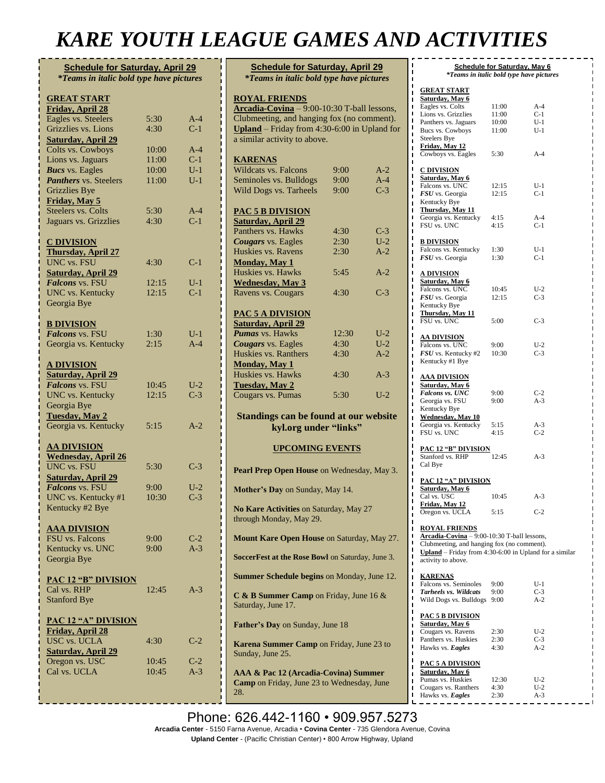# *KARE YOUTH LEAGUE GAMES AND ACTIVITIES*

| <b>Schedule for Saturday, April 29</b>          |       |       |
|-------------------------------------------------|-------|-------|
| <i>*Teams in italic bold type have pictures</i> |       |       |
|                                                 |       |       |
|                                                 |       |       |
| <b>GREAT START</b>                              |       |       |
| Friday, April 28                                |       |       |
| Eagles vs. Steelers                             | 5:30  | $A-4$ |
| Grizzlies vs. Lions                             | 4:30  | $C-1$ |
| <b>Saturday, April 29</b>                       |       |       |
| Colts vs. Cowboys                               | 10:00 | $A-4$ |
| Lions vs. Jaguars                               | 11:00 | $C-1$ |
| <b>Bucs</b> vs. Eagles                          | 10:00 | $U-1$ |
|                                                 |       | $U-1$ |
| Panthers vs. Steelers                           | 11:00 |       |
| <b>Grizzlies Bye</b>                            |       |       |
| Friday, May 5                                   |       |       |
| <b>Steelers vs. Colts</b>                       | 5:30  | $A-4$ |
| Jaguars vs. Grizzlies                           | 4:30  | $C-1$ |
|                                                 |       |       |
| <b>C DIVISION</b>                               |       |       |
| <b>Thursday, April 27</b>                       |       |       |
| <b>UNC</b> vs. FSU                              | 4:30  | $C-1$ |
|                                                 |       |       |
| <b>Saturday, April 29</b>                       |       |       |
| Falcons vs. FSU                                 | 12:15 | $U-1$ |
| <b>UNC</b> vs. Kentucky                         | 12:15 | $C-1$ |
| Georgia Bye                                     |       |       |
|                                                 |       |       |
| <b>B DIVISION</b>                               |       |       |
| Falcons vs. FSU                                 | 1:30  | $U-1$ |
| Georgia vs. Kentucky                            | 2:15  | $A-4$ |
|                                                 |       |       |
|                                                 |       |       |
| <u>A DIVISION</u>                               |       |       |
| Saturday, April 29                              |       |       |
| Falcons vs. FSU                                 | 10:45 | $U-2$ |
| <b>UNC</b> vs. Kentucky                         | 12:15 | $C-3$ |
| Georgia Bye                                     |       |       |
| <b>Tuesday</b> , May 2                          |       |       |
| Georgia vs. Kentucky                            | 5:15  | A-2   |
|                                                 |       |       |
|                                                 |       |       |
| <b>AA DIVISION</b>                              |       |       |
| <b>Wednesday, April 26</b>                      |       |       |
| <b>UNC vs. FSU</b>                              | 5:30  | $C-3$ |
| <b>Saturday, April 29</b>                       |       |       |
| Falcons vs. FSU                                 | 9:00  | $U-2$ |
| UNC vs. Kentucky #1                             | 10:30 | $C-3$ |
| Kentucky #2 Bye                                 |       |       |
|                                                 |       |       |
| <b>AAA DIVISION</b>                             |       |       |
| FSU vs. Falcons                                 | 9:00  |       |
|                                                 |       | $C-2$ |
| Kentucky vs. UNC                                | 9:00  | $A-3$ |
| Georgia Bye                                     |       |       |
|                                                 |       |       |
| <b>PAC 12 "B" DIVISION</b>                      |       |       |
| Cal vs. RHP                                     | 12:45 | $A-3$ |
| <b>Stanford Bye</b>                             |       |       |
|                                                 |       |       |
| <b>PAC 12 "A" DIVISION</b>                      |       |       |
|                                                 |       |       |
| <b>Friday, April 28</b>                         |       |       |
| <b>USC vs. UCLA</b>                             | 4:30  | $C-2$ |
| <b>Saturday, April 29</b>                       |       |       |
| Oregon vs. USC                                  | 10:45 | $C-2$ |
| Cal vs. UCLA                                    | 10:45 | $A-3$ |
|                                                 |       |       |
|                                                 |       |       |
|                                                 |       |       |

| <b>Schedule for Saturday, April 29</b><br><i>*Teams in italic bold type have pictures</i>        |       |       |  |  |  |
|--------------------------------------------------------------------------------------------------|-------|-------|--|--|--|
|                                                                                                  |       |       |  |  |  |
| <b>ROYAL FRIENDS</b>                                                                             |       |       |  |  |  |
| Arcadia-Covina - 9:00-10:30 T-ball lessons,                                                      |       |       |  |  |  |
| Clubmeeting, and hanging fox (no comment).                                                       |       |       |  |  |  |
| Upland - Friday from 4:30-6:00 in Upland for                                                     |       |       |  |  |  |
| a similar activity to above.                                                                     |       |       |  |  |  |
| <b>KARENAS</b>                                                                                   |       |       |  |  |  |
| <b>Wildcats vs. Falcons</b>                                                                      | 9:00  | $A-2$ |  |  |  |
| Seminoles vs. Bulldogs                                                                           | 9:00  | $A-4$ |  |  |  |
| Wild Dogs vs. Tarheels                                                                           | 9:00  | $C-3$ |  |  |  |
|                                                                                                  |       |       |  |  |  |
| <b>PAC 5 B DIVISION</b>                                                                          |       |       |  |  |  |
| <b>Saturday, April 29</b><br>Panthers vs. Hawks                                                  | 4:30  | $C-3$ |  |  |  |
| <b>Cougars</b> vs. Eagles                                                                        | 2:30  | $U-2$ |  |  |  |
| Huskies vs. Ravens                                                                               | 2:30  | $A-2$ |  |  |  |
| Monday, May 1                                                                                    |       |       |  |  |  |
| Huskies vs. Hawks                                                                                | 5:45  | $A-2$ |  |  |  |
| <b>Wednesday</b> , May 3                                                                         |       |       |  |  |  |
| Ravens vs. Cougars                                                                               | 4:30  | $C-3$ |  |  |  |
|                                                                                                  |       |       |  |  |  |
| <b>PAC 5 A DIVISION</b>                                                                          |       |       |  |  |  |
| <b>Saturday, April 29</b><br><b>Pumas</b> vs. Hawks                                              | 12:30 | $U-2$ |  |  |  |
| <b>Cougars</b> vs. Eagles                                                                        | 4:30  | $U-2$ |  |  |  |
| Huskies vs. Ranthers                                                                             | 4:30  | $A-2$ |  |  |  |
| Monday, May 1                                                                                    |       |       |  |  |  |
| <b>Huskies vs. Hawks</b>                                                                         | 4:30  | $A-3$ |  |  |  |
| <b>Tuesday</b> , May 2                                                                           |       |       |  |  |  |
| Cougars vs. Pumas                                                                                | 5:30  | $U-2$ |  |  |  |
|                                                                                                  |       |       |  |  |  |
| Standings can be found at our website                                                            |       |       |  |  |  |
| kyl.org under "links"                                                                            |       |       |  |  |  |
| <b>UPCOMING EVENTS</b>                                                                           |       |       |  |  |  |
|                                                                                                  |       |       |  |  |  |
| Pearl Prep Open House on Wednesday, May 3.                                                       |       |       |  |  |  |
| Mother's Day on Sunday, May 14.                                                                  |       |       |  |  |  |
|                                                                                                  |       |       |  |  |  |
| No Kare Activities on Saturday, May 27<br>through Monday, May 29.                                |       |       |  |  |  |
| <b>Mount Kare Open House on Saturday, May 27.</b>                                                |       |       |  |  |  |
| SoccerFest at the Rose Bowl on Saturday, June 3.                                                 |       |       |  |  |  |
| <b>Summer Schedule begins on Monday, June 12.</b>                                                |       |       |  |  |  |
| C & B Summer Camp on Friday, June 16 &<br>Saturday, June 17.                                     |       |       |  |  |  |
| Father's Day on Sunday, June 18                                                                  |       |       |  |  |  |
| Karena Summer Camp on Friday, June 23 to<br>Sunday, June 25.                                     |       |       |  |  |  |
| AAA & Pac 12 (Arcadia-Covina) Summer<br><b>Camp</b> on Friday, June 23 to Wednesday, June<br>28. |       |       |  |  |  |

| ı                                                                                     |                | Schedule for Saturday, May 6             |
|---------------------------------------------------------------------------------------|----------------|------------------------------------------|
| ı                                                                                     |                | *Teams in italic bold type have pictures |
| ı<br><b>GREAT START</b><br>п                                                          |                |                                          |
| Saturday, May 6                                                                       |                |                                          |
| Eagles vs. Colts<br>ı<br>ı<br>Lions vs. Grizzlies                                     | 11:00<br>11:00 | $A-4$<br>$C-1$                           |
| ı<br>Panthers vs. Jaguars                                                             | 10:00          | U-1                                      |
| ı<br>Bucs vs. Cowboys<br>Π                                                            | 11:00          | U-1                                      |
| <b>Steelers Bye</b>                                                                   |                |                                          |
| Friday, May 12<br>ı<br>Cowboys vs. Eagles<br>ī                                        | 5:30           | A-4                                      |
| ı                                                                                     |                |                                          |
| ı<br><b>C DIVISION</b>                                                                |                |                                          |
| ı<br>Saturday, May 6                                                                  |                |                                          |
| Falcons vs. UNC<br>ı<br><b>FSU</b> vs. Georgia                                        | 12:15<br>12:15 | $U-1$<br>$C-1$                           |
| ı<br>Kentucky Bye<br>ı                                                                |                |                                          |
| Thursday, May 11<br>ı                                                                 |                |                                          |
| Georgia vs. Kentucky<br>Π<br>ı                                                        | 4:15           | A-4                                      |
| FSU vs. UNC<br>ı                                                                      | 4:15           | C-1                                      |
| ī<br><u>B DIVISION</u><br>ı                                                           |                |                                          |
| Falcons vs. Kentucky<br>ı                                                             | 1:30           | U-1                                      |
| <b>FSU</b> vs. Georgia<br>ī                                                           | 1:30           | $C-1$                                    |
| ı<br><u>A DIVISION</u>                                                                |                |                                          |
| ı<br>Saturday, May 6                                                                  |                |                                          |
| ı<br>Falcons vs. UNC<br>ı                                                             | 10:45          | $U-2$                                    |
| <b>FSU</b> vs. Georgia<br>ı                                                           | 12:15          | C-3                                      |
| Kentucky Bye<br>ı<br>Thursday, May 11                                                 |                |                                          |
| ı<br>ī<br>FSU vs. UNC                                                                 | 5:00           | $C-3$                                    |
| ı                                                                                     |                |                                          |
| ı<br><b>AA DIVISION</b><br>ı                                                          |                |                                          |
| Falcons vs. UNC                                                                       | 9:00<br>10:30  | $U-2$<br>$C-3$                           |
| <b>FSU</b> vs. Kentucky #2<br>ı<br>Kentucky #1 Bye<br>ī                               |                |                                          |
| ı                                                                                     |                |                                          |
| ı<br><b>AAA DIVISION</b>                                                              |                |                                          |
| ı<br>Saturday, May 6                                                                  |                |                                          |
| Falcons vs. UNC<br>ı<br>Georgia vs. FSU                                               | 9:00<br>9:00   | $C-2$<br>$A-3$                           |
| ı<br>Kentucky Bye<br>ı                                                                |                |                                          |
| <b>Wednesday</b> , May 10<br>ı                                                        |                |                                          |
| Georgia vs. Kentucky<br>Π<br>FSU vs. UNC                                              | 5:15<br>4:15   | $A-3$<br>$C-2$                           |
| ı                                                                                     |                |                                          |
| ı<br><u>PAC 12 "B" DIVISION</u><br>ı                                                  |                |                                          |
| Stanford vs. RHP<br>ı                                                                 | 12:45          | $A-3$                                    |
| Cal Bye<br>ı                                                                          |                |                                          |
| ı<br><u>PAC 12 "A" DIVISION</u>                                                       |                |                                          |
| ī<br>Saturday, May 6                                                                  |                |                                          |
| Cal vs. USC<br>ı                                                                      | 10:45          | $A-3$                                    |
| <u>Friday, May 12</u><br>I                                                            |                |                                          |
| Oregon vs. UCLA                                                                       | 5:15           | $C-2$                                    |
| ı<br><b>ROYAL FRIENDS</b><br>ī                                                        |                |                                          |
| ı<br>Arcadia-Covina - 9:00-10:30 T-ball lessons,                                      |                |                                          |
| ı<br>Clubmeeting, and hanging fox (no comment).<br>ı                                  |                |                                          |
| <b>Upland</b> – Friday from $4:30-6:00$ in Upland for a similar<br>activity to above. |                |                                          |
| ī<br>ī                                                                                |                |                                          |
| <b>KARENAS</b><br>ı                                                                   |                |                                          |
| Falcons vs. Seminoles<br>П                                                            | 9:00           | U-1                                      |
| Tarheels vs. Wildcats<br>Π<br>Wild Dogs vs. Bulldogs                                  | 9:00<br>9:00   | $C-3$<br>$A-2$                           |
|                                                                                       |                |                                          |
| ı                                                                                     |                |                                          |
| ī<br><u>PAC 5 B DIVISION</u>                                                          |                |                                          |
| Saturday, May 6<br>ı                                                                  |                |                                          |
| Cougars vs. Ravens<br>ı                                                               | 2:30           | U-2                                      |
| Panthers vs. Huskies<br>ı                                                             | 2:30           | $C-3$                                    |
| Hawks vs. Eagles<br>Π                                                                 | 4:30           | A-2                                      |
| Π<br><u>PAC 5 A DIVISION</u><br>ı                                                     |                |                                          |
| Saturday, May 6<br>ī                                                                  |                |                                          |
| Pumas vs. Huskies<br>ı<br>Cougars vs. Ranthers<br>П                                   | 12:30<br>4:30  | U-2<br>U-2                               |

**Phone: 626.442-1160 • 909.957.5273 Arcadia Center** - 5150 Farna Avenue, Arcadia • **Covina Center** - 735 Glendora Avenue, Covina **kyl.org under "links" Upland Center** - (Pacific Christian Center) • 800 Arrow Highway, Upland  $\mathbf{Q}$